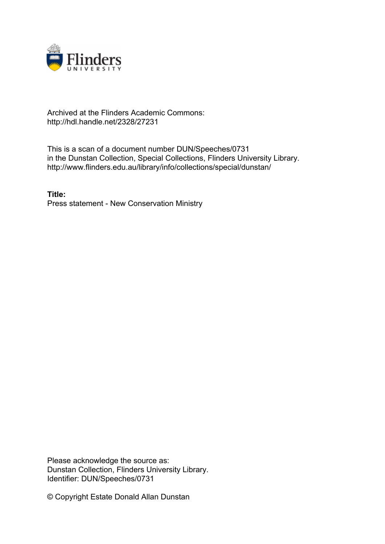

## Archived at the Flinders Academic Commons: http://hdl.handle.net/2328/27231

This is a scan of a document number DUN/Speeches/0731 in the Dunstan Collection, Special Collections, Flinders University Library. http://www.flinders.edu.au/library/info/collections/special/dunstan/

**Title:** Press statement - New Conservation Ministry

Please acknowledge the source as: Dunstan Collection, Flinders University Library. Identifier: DUN/Speeches/0731

© Copyright Estate Donald Allan Dunstan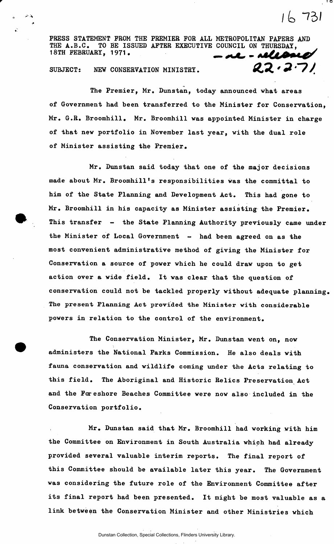**PRESS STATEMENT FROM THE PREMIER FOR ALL METROPOLITAN PAPERS AND THE A.B.C. TO BE ISSUED AFTER EXECUTIVE COUNCIL ON THURSDAY, 18TH FEBRUARY, 1971, \_** 

*I to* **\*73/** 

SUBJECT: NEW CONSERVATION MINISTRY. **22.77/** 

**The Premier, Mr. Dunstan, today announced what areas of Government had been transferred to the Minister for Conservation, Mr. G.R. Broomhill. Mr. Broomhill was appointed Minister in charge of that new portfolio in November last year, with the dual role of Minister assisting the Premier.** 

**Mr. Dunstan said today that one of the major decisions**  made about Mr. Broomhill's responsibilities was the committal to **him of the State Planning and Development Act. This had gone to Mr. Broomhill in his capacity as Minister assisting the Premier. This transfer - the State Planning Authority previously came under**  the Minister of Local Government - had been agreed on as the **most convenient administrative method of giving the Minister for Conservation a source of power which he could draw upon to get action over a wide field. It was clear that the question of conservation could not be tackled properly without adequate planning The present Planning Act provided the Minister with considerable powers in relation to the control of the environment.** 

**The Conservation Minister, Mr. Dunstan went on, now administers the National Parks Commission. He also deals with fauna conservation and wildlife coming under the Acts relating to this field. The Aboriginal and Historic Relics Preservation Act and the Foreshore Beaches Committee were now also included in the Conservation portfolio.** 

**Mr. Dunstan said that Mr. Broomhill had working with him the Committee on Environment in South Australia which had already provided several valuable interim reports. The final report of this Committee should be available later this year. The Government was considering the future role of the Environment Committee after its final report had been presented. It might be most valuable as a link between the Conservation Minister and other Ministries which**